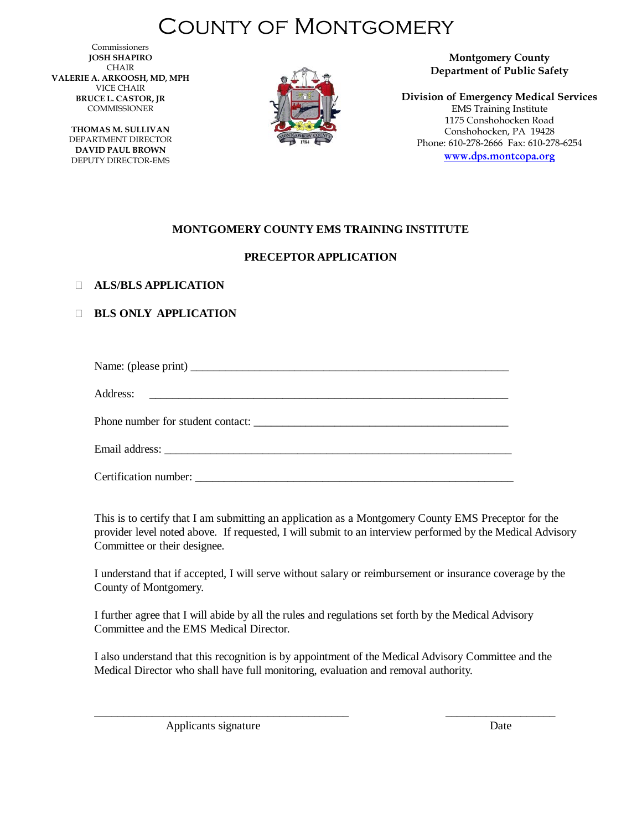# County of Montgomery

Commissioners **JOSH SHAPIRO** CHAIR **VALERIE A. ARKOOSH, MD, MPH** VICE CHAIR **BRUCE L. CASTOR, JR** COMMISSIONER

> **THOMAS M. SULLIVAN** DEPARTMENT DIRECTOR **DAVID PAUL BROWN** DEPUTY DIRECTOR-EMS



**Montgomery County Department of Public Safety**

**Division of Emergency Medical Services** EMS Training Institute 1175 Conshohocken Road Conshohocken, PA 19428 Phone: 610-278-2666 Fax: 610-278-6254 [www.dps.montcopa.org](http://www.dps.montcopa.org/)

### **MONTGOMERY COUNTY EMS TRAINING INSTITUTE**

### **PRECEPTOR APPLICATION**

#### **ALS/BLS APPLICATION**

### **BLS ONLY APPLICATION**

Name: (please print) \_\_\_\_\_\_\_\_\_\_\_\_\_\_\_\_\_\_\_\_\_\_\_\_\_\_\_\_\_\_\_\_\_\_\_\_\_\_\_\_\_\_\_\_\_\_\_\_\_\_\_\_\_\_\_

Address: \_\_\_\_\_\_\_\_\_\_\_\_\_\_\_\_\_\_\_\_\_\_\_\_\_\_\_\_\_\_\_\_\_\_\_\_\_\_\_\_\_\_\_\_\_\_\_\_\_\_\_\_\_\_\_\_\_\_\_\_\_\_

Phone number for student contact:

Email address:

Certification number: \_\_\_\_\_\_\_\_\_\_\_\_\_\_\_\_\_\_\_\_\_\_\_\_\_\_\_\_\_\_\_\_\_\_\_\_\_\_\_\_\_\_\_\_\_\_\_\_\_\_\_\_\_\_\_

This is to certify that I am submitting an application as a Montgomery County EMS Preceptor for the provider level noted above. If requested, I will submit to an interview performed by the Medical Advisory Committee or their designee.

I understand that if accepted, I will serve without salary or reimbursement or insurance coverage by the County of Montgomery.

I further agree that I will abide by all the rules and regulations set forth by the Medical Advisory Committee and the EMS Medical Director.

I also understand that this recognition is by appointment of the Medical Advisory Committee and the Medical Director who shall have full monitoring, evaluation and removal authority.

\_\_\_\_\_\_\_\_\_\_\_\_\_\_\_\_\_\_\_\_\_\_\_\_\_\_\_\_\_\_\_\_\_\_\_\_\_\_\_\_\_\_\_\_ \_\_\_\_\_\_\_\_\_\_\_\_\_\_\_\_\_\_\_ Applicants signature Date